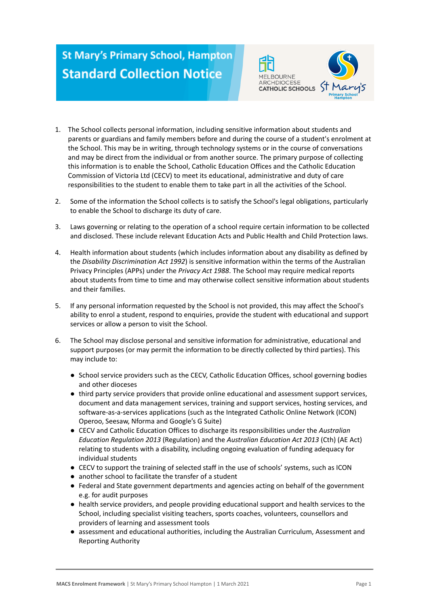## **St Mary's Primary School, Hampton Standard Collection Notice**





- 2. Some of the information the School collects is to satisfy the School's legal obligations, particularly to enable the School to discharge its duty of care.
- 3. Laws governing or relating to the operation of a school require certain information to be collected and disclosed. These include relevant Education Acts and Public Health and Child Protection laws.
- 4. Health information about students (which includes information about any disability as defined by the *Disability Discrimination Act 1992*) is sensitive information within the terms of the Australian Privacy Principles (APPs) under the *Privacy Act 1988*. The School may require medical reports about students from time to time and may otherwise collect sensitive information about students and their families.
- 5. If any personal information requested by the School is not provided, this may affect the School's ability to enrol a student, respond to enquiries, provide the student with educational and support services or allow a person to visit the School.
- 6. The School may disclose personal and sensitive information for administrative, educational and support purposes (or may permit the information to be directly collected by third parties). This may include to:
	- School service providers such as the CECV, Catholic Education Offices, school governing bodies and other dioceses
	- third party service providers that provide online educational and assessment support services, document and data management services, training and support services, hosting services, and software-as-a-services applications (such as the Integrated Catholic Online Network (ICON) Operoo, Seesaw, Nforma and Google's G Suite)
	- CECV and Catholic Education Offices to discharge its responsibilities under the *Australian Education Regulation 2013* (Regulation) and the *Australian Education Act 2013* (Cth) (AE Act) relating to students with a disability, including ongoing evaluation of funding adequacy for individual students
	- CECV to support the training of selected staff in the use of schools' systems, such as ICON
	- another school to facilitate the transfer of a student
	- Federal and State government departments and agencies acting on behalf of the government e.g. for audit purposes
	- health service providers, and people providing educational support and health services to the School, including specialist visiting teachers, sports coaches, volunteers, counsellors and providers of learning and assessment tools
	- assessment and educational authorities, including the Australian Curriculum, Assessment and Reporting Authority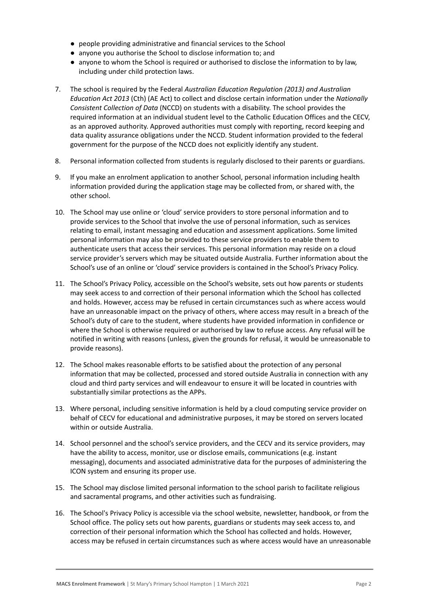- people providing administrative and financial services to the School
- anyone you authorise the School to disclose information to; and
- anyone to whom the School is required or authorised to disclose the information to by law. including under child protection laws.
- 7. The school is required by the Federal *Australian Education Regulation (2013) and Australian Education Act 2013* (Cth) (AE Act) to collect and disclose certain information under the *Nationally Consistent Collection of Data* (NCCD) on students with a disability. The school provides the required information at an individual student level to the Catholic Education Offices and the CECV, as an approved authority. Approved authorities must comply with reporting, record keeping and data quality assurance obligations under the NCCD. Student information provided to the federal government for the purpose of the NCCD does not explicitly identify any student.
- 8. Personal information collected from students is regularly disclosed to their parents or guardians.
- 9. If you make an enrolment application to another School, personal information including health information provided during the application stage may be collected from, or shared with, the other school.
- 10. The School may use online or 'cloud' service providers to store personal information and to provide services to the School that involve the use of personal information, such as services relating to email, instant messaging and education and assessment applications. Some limited personal information may also be provided to these service providers to enable them to authenticate users that access their services. This personal information may reside on a cloud service provider's servers which may be situated outside Australia. Further information about the School's use of an online or 'cloud' service providers is contained in the School's Privacy Policy.
- 11. The School's Privacy Policy, accessible on the School's website, sets out how parents or students may seek access to and correction of their personal information which the School has collected and holds. However, access may be refused in certain circumstances such as where access would have an unreasonable impact on the privacy of others, where access may result in a breach of the School's duty of care to the student, where students have provided information in confidence or where the School is otherwise required or authorised by law to refuse access. Any refusal will be notified in writing with reasons (unless, given the grounds for refusal, it would be unreasonable to provide reasons).
- 12. The School makes reasonable efforts to be satisfied about the protection of any personal information that may be collected, processed and stored outside Australia in connection with any cloud and third party services and will endeavour to ensure it will be located in countries with substantially similar protections as the APPs.
- 13. Where personal, including sensitive information is held by a cloud computing service provider on behalf of CECV for educational and administrative purposes, it may be stored on servers located within or outside Australia.
- 14. School personnel and the school's service providers, and the CECV and its service providers, may have the ability to access, monitor, use or disclose emails, communications (e.g. instant messaging), documents and associated administrative data for the purposes of administering the ICON system and ensuring its proper use.
- 15. The School may disclose limited personal information to the school parish to facilitate religious and sacramental programs, and other activities such as fundraising.
- 16. The School's Privacy Policy is accessible via the school website, newsletter, handbook, or from the School office. The policy sets out how parents, guardians or students may seek access to, and correction of their personal information which the School has collected and holds. However, access may be refused in certain circumstances such as where access would have an unreasonable